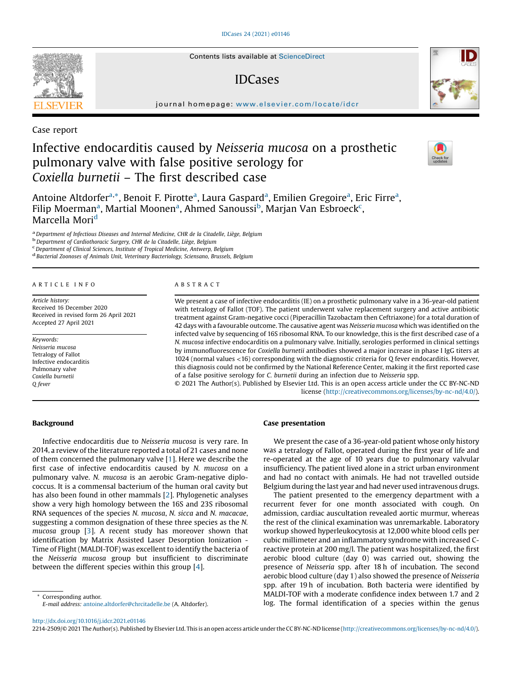#### [IDCases](http://dx.doi.org/10.1016/j.idcr.2021.e01146) 24 (2021) e01146

Contents lists available at [ScienceDirect](http://www.sciencedirect.com/science/journal/22142509)

## IDCases

journal homepage: <www.elsevier.com/locate/idcr>

Case report

# Infective endocarditis caused by Neisseria mucosa on a prosthetic pulmonary valve with false positive serology for Coxiella burnetii – The first described case



Antoine Altdorfer<sup>a,\*</sup>, Benoit F. Pirotte<sup>a</sup>, Laura Gaspard<sup>a</sup>, Emilien Gregoire<sup>a</sup>, Eric Firre<sup>a</sup>, Filip Moerman<sup>a</sup>, Martial Moonen<sup>a</sup>, Ahmed Sanoussi<sup>b</sup>, Marjan Van Esbroeck<sup>c</sup>, Marcella Mori<sup>d</sup>

<sup>a</sup> Department of Infectious Diseases and Internal Medicine, CHR de la Citadelle, Liège, Belgium b<br><sup>b</sup> Department of Cardiothoracic Surgery, CHR de la Citadelle, Liège, Belgium c<br><sup>c</sup> Department of Clinical Sciences, Insti

<sup>d</sup> Bacterial Zoonoses of Animals Unit, Veterinary Bacteriology, Sciensano, Brussels, Belgium

## A R T I C L E I N F O

Article history: Received 16 December 2020 Received in revised form 26 April 2021 Accepted 27 April 2021

Keywords: Neisseria mucosa Tetralogy of Fallot Infective endocarditis Pulmonary valve Coxiella burnetii Q fever

## A B S T R A C T

We present a case of infective endocarditis (IE) on a prosthetic pulmonary valve in a 36-year-old patient with tetralogy of Fallot (TOF). The patient underwent valve replacement surgery and active antibiotic treatment against Gram-negative cocci (Piperacillin Tazobactam then Ceftriaxone) for a total duration of 42 days with a favourable outcome. The causative agent was Neisseria mucosa which was identified on the infected valve by sequencing of 16S ribosomal RNA. To our knowledge, this is the first described case of a N. mucosa infective endocarditis on a pulmonary valve. Initially, serologies performed in clinical settings by immunofluorescence for Coxiella burnetii antibodies showed a major increase in phase I IgG titers at 1024 (normal values <16) corresponding with the diagnostic criteria for Q fever endocarditis. However, this diagnosis could not be confirmed by the National Reference Center, making it the first reported case of a false positive serology for C. burnetii during an infection due to Neisseria spp.

© 2021 The Author(s). Published by Elsevier Ltd. This is an open access article under the CC BY-NC-ND license [\(http://creativecommons.org/licenses/by-nc-nd/4.0/](http://creativecommons.org/licenses/by-nc-nd/4.0/)).

## Background

Infective endocarditis due to Neisseria mucosa is very rare. In 2014, a review of the literature reported a total of 21 cases and none of them concerned the pulmonary valve [[1\]](#page-2-0). Here we describe the first case of infective endocarditis caused by N. mucosa on a pulmonary valve. N. mucosa is an aerobic Gram-negative diplococcus. It is a commensal bacterium of the human oral cavity but has also been found in other mammals [[2\]](#page-2-0). Phylogenetic analyses show a very high homology between the 16S and 23S ribosomal RNA sequences of the species N. mucosa, N. sicca and N. macacae, suggesting a common designation of these three species as the N. mucosa group [\[3](#page-2-0)]. A recent study has moreover shown that identification by Matrix Assisted Laser Desorption Ionization - Time of Flight (MALDI-TOF) was excellent to identify the bacteria of the Neisseria mucosa group but insufficient to discriminate between the different species within this group [\[4](#page-2-0)].

E-mail address: [antoine.altdorfer@chrcitadelle.be](mailto:antoine.altdorfer@chrcitadelle.be) (A. Altdorfer).

#### Case presentation

We present the case of a 36-year-old patient whose only history was a tetralogy of Fallot, operated during the first year of life and re-operated at the age of 10 years due to pulmonary valvular insufficiency. The patient lived alone in a strict urban environment and had no contact with animals. He had not travelled outside Belgium during the last year and had never used intravenous drugs.

The patient presented to the emergency department with a recurrent fever for one month associated with cough. On admission, cardiac auscultation revealed aortic murmur, whereas the rest of the clinical examination was unremarkable. Laboratory workup showed hyperleukocytosis at 12,000 white blood cells per cubic millimeter and an inflammatory syndrome with increased Creactive protein at 200 mg/l. The patient was hospitalized, the first aerobic blood culture (day 0) was carried out, showing the presence of Neisseria spp. after 18 h of incubation. The second aerobic blood culture (day 1) also showed the presence of Neisseria spp. after 19 h of incubation. Both bacteria were identified by MALDI-TOF with a moderate confidence index between 1.7 and 2 Loresponding author.<br>Corresponding author.<br>C-mail address: antoine.altdorfer@chrcitadelle.be (A. Altdorfer). [log. The formal identification of a species within the genus

<http://dx.doi.org/10.1016/j.idcr.2021.e01146>

2214-2509/© 2021 The Author(s). Published by Elsevier Ltd. This is an open access article under the CC BY-NC-ND license [\(http://creativecommons.org/licenses/by-nc-nd/4.0/\)](http://creativecommons.org/licenses/by-nc-nd/4.0/).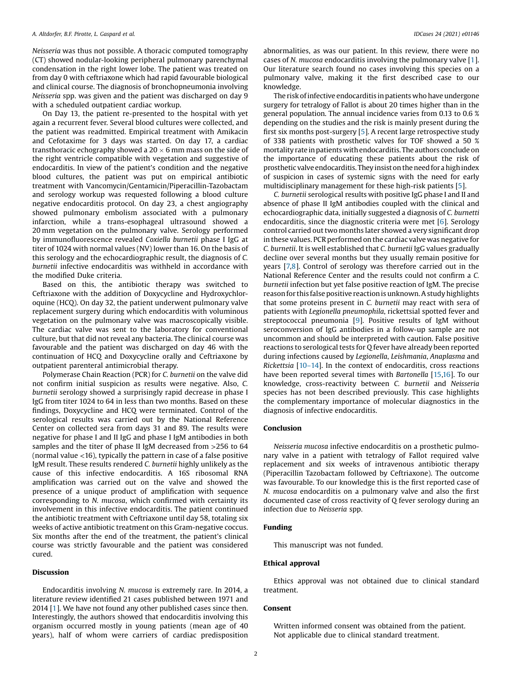#### A. Altdorfer, B.F. Pirotte, L. Gaspard et al. **IDCases 24 (2021)** e01146

Neisseria was thus not possible. A thoracic computed tomography (CT) showed nodular-looking peripheral pulmonary parenchymal condensation in the right lower lobe. The patient was treated on from day 0 with ceftriaxone which had rapid favourable biological and clinical course. The diagnosis of bronchopneumonia involving Neisseria spp. was given and the patient was discharged on day 9 with a scheduled outpatient cardiac workup.

On Day 13, the patient re-presented to the hospital with yet again a recurrent fever. Several blood cultures were collected, and the patient was readmitted. Empirical treatment with Amikacin and Cefotaxime for 3 days was started. On day 17, a cardiac transthoracic echography showed a  $20 \times 6$  mm mass on the side of the right ventricle compatible with vegetation and suggestive of endocarditis. In view of the patient's condition and the negative blood cultures, the patient was put on empirical antibiotic treatment with Vancomycin/Gentamicin/Piperacillin-Tazobactam and serology workup was requested following a blood culture negative endocarditis protocol. On day 23, a chest angiography showed pulmonary embolism associated with a pulmonary infarction, while a trans-esophageal ultrasound showed a 20 mm vegetation on the pulmonary valve. Serology performed by immunofluorescence revealed Coxiella burnetii phase I IgG at titer of 1024 with normal values (NV) lower than 16. On the basis of this serology and the echocardiographic result, the diagnosis of C. burnetii infective endocarditis was withheld in accordance with the modified Duke criteria.

Based on this, the antibiotic therapy was switched to Ceftriaxone with the addition of Doxycycline and Hydroxychloroquine (HCQ). On day 32, the patient underwent pulmonary valve replacement surgery during which endocarditis with voluminous vegetation on the pulmonary valve was macroscopically visible. The cardiac valve was sent to the laboratory for conventional culture, but that did not reveal any bacteria. The clinical course was favourable and the patient was discharged on day 46 with the continuation of HCQ and Doxycycline orally and Ceftriaxone by outpatient parenteral antimicrobial therapy.

Polymerase Chain Reaction (PCR) for C. burnetii on the valve did not confirm initial suspicion as results were negative. Also, C. burnetii serology showed a surprisingly rapid decrease in phase I IgG from titer 1024 to 64 in less than two months. Based on these findings, Doxycycline and HCQ were terminated. Control of the serological results was carried out by the National Reference Center on collected sera from days 31 and 89. The results were negative for phase I and II IgG and phase I IgM antibodies in both samples and the titer of phase II IgM decreased from >256 to 64 (normal value <16), typically the pattern in case of a false positive IgM result. These results rendered C. burnetii highly unlikely as the cause of this infective endocarditis. A 16S ribosomal RNA amplification was carried out on the valve and showed the presence of a unique product of amplification with sequence corresponding to N. mucosa, which confirmed with certainty its involvement in this infective endocarditis. The patient continued the antibiotic treatment with Ceftriaxone until day 58, totaling six weeks of active antibiotic treatment on this Gram-negative coccus. Six months after the end of the treatment, the patient's clinical course was strictly favourable and the patient was considered cured.

#### Discussion

Endocarditis involving N. mucosa is extremely rare. In 2014, a literature review identified 21 cases published between 1971 and 2014 [\[1](#page-2-0)]. We have not found any other published cases since then. Interestingly, the authors showed that endocarditis involving this organism occurred mostly in young patients (mean age of 40 years), half of whom were carriers of cardiac predisposition

abnormalities, as was our patient. In this review, there were no cases of N. mucosa endocarditis involving the pulmonary valve [[1](#page-2-0)]. Our literature search found no cases involving this species on a pulmonary valve, making it the first described case to our knowledge.

The risk of infective endocarditis in patients who have undergone surgery for tetralogy of Fallot is about 20 times higher than in the general population. The annual incidence varies from 0.13 to 0.6 % depending on the studies and the risk is mainly present during the first six months post-surgery [[5\]](#page-2-0). A recent large retrospective study of 338 patients with prosthetic valves for TOF showed a 50 % mortality rate in patients with endocarditis. The authors conclude on the importance of educating these patients about the risk of prosthetic valve endocarditis. They insistontheneedfor ahighindex of suspicion in cases of systemic signs with the need for early multidisciplinary management for these high-risk patients [\[5](#page-2-0)].

C. burnetii serological results with positive IgG phase I and II and absence of phase II IgM antibodies coupled with the clinical and echocardiographic data, initially suggested a diagnosis of C. burnetti endocarditis, since the diagnostic criteria were met [[6\]](#page-2-0). Serology control carried out two months later showed a very significant drop in these values. PCR performed on the cardiac valve was negative for C. burnetii. It is well established that C. burnetii IgG values gradually decline over several months but they usually remain positive for years [\[7,8](#page-2-0)]. Control of serology was therefore carried out in the National Reference Center and the results could not confirm a C. burnetii infection but yet false positive reaction of IgM. The precise reason for this false positive reaction is unknown. A study highlights that some proteins present in C. burnetii may react with sera of patients with Legionella pneumophila, rickettsial spotted fever and streptococcal pneumonia [[9\]](#page-2-0). Positive results of IgM without seroconversion of IgG antibodies in a follow-up sample are not uncommon and should be interpreted with caution. False positive reactions to serological tests for Q fever have already been reported during infections caused by Legionella, Leishmania, Anaplasma and Rickettsia  $[10-14]$  $[10-14]$ . In the context of endocarditis, cross reactions have been reported several times with Bartonella [\[15,16](#page-2-0)]. To our knowledge, cross-reactivity between C. burnetii and Neisseria species has not been described previously. This case highlights the complementary importance of molecular diagnostics in the diagnosis of infective endocarditis.

#### Conclusion

Neisseria mucosa infective endocarditis on a prosthetic pulmonary valve in a patient with tetralogy of Fallot required valve replacement and six weeks of intravenous antibiotic therapy (Piperacillin Tazobactam followed by Ceftriaxone). The outcome was favourable. To our knowledge this is the first reported case of N. mucosa endocarditis on a pulmonary valve and also the first documented case of cross reactivity of Q fever serology during an infection due to Neisseria spp.

## Funding

This manuscript was not funded.

## Ethical approval

Ethics approval was not obtained due to clinical standard treatment.

#### Consent

Written informed consent was obtained from the patient. Not applicable due to clinical standard treatment.